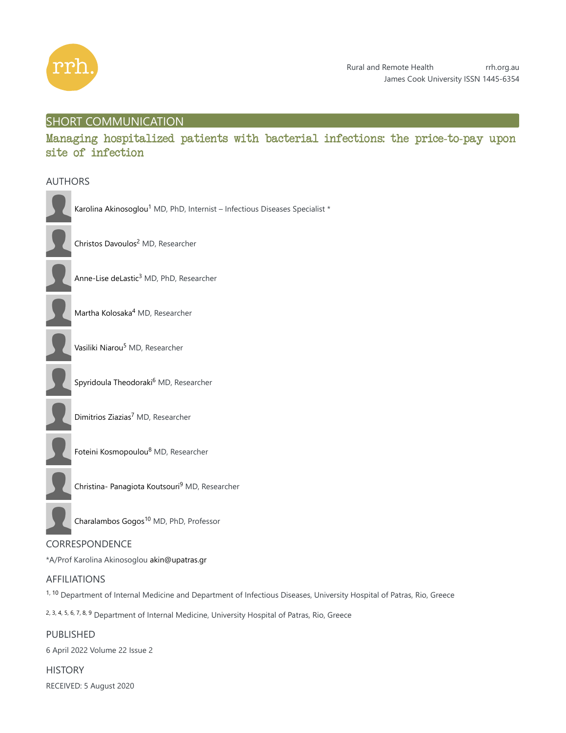

# SHORT COMMUNICATION

Managing hospitalized patients with bacterial infections: the price-to-pay upon site of infection

## AUTHORS

|  | I                        |
|--|--------------------------|
|  | l                        |
|  | ı                        |
|  | $\overline{\phantom{a}}$ |
|  |                          |
|  |                          |
|  | ׇ֚֚֬֝                    |
|  | l                        |
|  | (                        |
|  | l                        |

Karolina Akinosoglou<sup>1</sup> MD, PhD, Internist - Infectious Diseases Specialist \*

Christos Davoulos<sup>2</sup> MD, Researcher

Anne-Lise deLastic<sup>3</sup> MD, PhD, Researcher

Martha Kolosaka<sup>4</sup> MD, Researcher

Vasiliki Niarou<sup>5</sup> MD, Researcher

Spyridoula Theodoraki<sup>6</sup> MD, Researcher

Dimitrios Ziazias<sup>7</sup> MD, Researcher



Foteini Kosmopoulou<sup>8</sup> MD, Researcher

Christina- Panagiota Koutsouri<sup>9</sup> MD, Researcher

Charalambos Gogos<sup>10</sup> MD, PhD, Professor

# CORRESPONDENCE

\*A/Prof Karolina Akinosoglou akin@upatras.gr

# AFFILIATIONS

<sup>1, 10</sup> Department of Internal Medicine and Department of Infectious Diseases, University Hospital of Patras, Rio, Greece

2, 3, 4, 5, 6, 7, 8, 9 Department of Internal Medicine, University Hospital of Patras, Rio, Greece

PUBLISHED 6 April 2022 Volume 22 Issue 2

**HISTORY** RECEIVED: 5 August 2020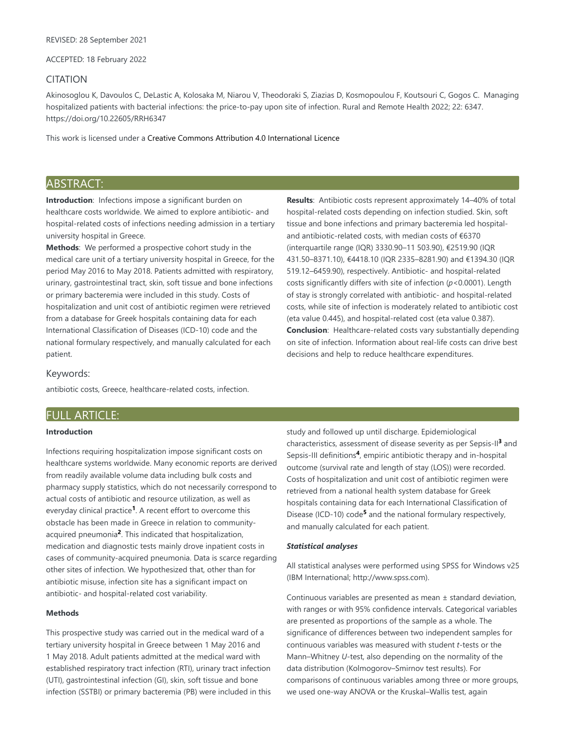ACCEPTED: 18 February 2022

### CITATION

Akinosoglou K, Davoulos C, DeLastic A, Kolosaka M, Niarou V, Theodoraki S, Ziazias D, Kosmopoulou F, Koutsouri C, Gogos C. Managing hospitalized patients with bacterial infections: the price-to-pay upon site of infection. Rural and Remote Health 2022; 22: 6347. https://doi.org/10.22605/RRH6347

This work is licensed under a Creative Commons Attribution 4.0 International Licence

# ABSTRACT:

**Introduction**: Infections impose a significant burden on healthcare costs worldwide. We aimed to explore antibiotic- and hospital-related costs of infections needing admission in a tertiary university hospital in Greece.

**Methods**: We performed a prospective cohort study in the medical care unit of a tertiary university hospital in Greece, for the period May 2016 to May 2018. Patients admitted with respiratory, urinary, gastrointestinal tract, skin, soft tissue and bone infections or primary bacteremia were included in this study. Costs of hospitalization and unit cost of antibiotic regimen were retrieved from a database for Greek hospitals containing data for each International Classification of Diseases (ICD-10) code and the national formulary respectively, and manually calculated for each patient.

**Results**: Antibiotic costs represent approximately 14–40% of total hospital-related costs depending on infection studied. Skin, soft tissue and bone infections and primary bacteremia led hospitaland antibiotic-related costs, with median costs of €6370 (interquartile range (IQR) 3330.90–11 503.90), €2519.90 (IQR 431.50–8371.10), €4418.10 (IQR 2335–8281.90) and €1394.30 (IQR 519.12–6459.90), respectively. Antibiotic- and hospital-related costs significantly differs with site of infection (*p*<0.0001). Length of stay is strongly correlated with antibiotic- and hospital-related costs, while site of infection is moderately related to antibiotic cost (eta value 0.445), and hospital-related cost (eta value 0.387). **Conclusion**: Healthcare-related costs vary substantially depending on site of infection. Information about real-life costs can drive best decisions and help to reduce healthcare expenditures.

#### Keywords:

antibiotic costs, Greece, healthcare-related costs, infection.

## FULL ARTICLE:

### **Introduction**

Infections requiring hospitalization impose significant costs on healthcare systems worldwide. Many economic reports are derived from readily available volume data including bulk costs and pharmacy supply statistics, which do not necessarily correspond to actual costs of antibiotic and resource utilization, as well as everyday clinical practice<sup>1</sup>. A recent effort to overcome this obstacle has been made in Greece in relation to communityacquired pneumonia<sup>2</sup>. This indicated that hospitalization, medication and diagnostic tests mainly drove inpatient costs in cases of community-acquired pneumonia. Data is scarce regarding other sites of infection. We hypothesized that, other than for antibiotic misuse, infection site has a significant impact on antibiotic- and hospital-related cost variability.

#### **Methods**

This prospective study was carried out in the medical ward of a tertiary university hospital in Greece between 1 May 2016 and 1 May 2018. Adult patients admitted at the medical ward with established respiratory tract infection (RTI), urinary tract infection (UTI), gastrointestinal infection (GI), skin, soft tissue and bone infection (SSTBI) or primary bacteremia (PB) were included in this study and followed up until discharge. Epidemiological characteristics, assessment of disease severity as per Sepsis-II<sup>3</sup> and Sepsis-III definitions<sup>4</sup>, empiric antibiotic therapy and in-hospital outcome (survival rate and length of stay (LOS)) were recorded. Costs of hospitalization and unit cost of antibiotic regimen were retrieved from a national health system database for Greek hospitals containing data for each International Classification of Disease (ICD-10) code<sup>5</sup> and the national formulary respectively, and manually calculated for each patient.

#### *Statistical analyses*

All statistical analyses were performed using SPSS for Windows v25 (IBM International; http://www.spss.com).

Continuous variables are presented as mean ± standard deviation, with ranges or with 95% confidence intervals. Categorical variables are presented as proportions of the sample as a whole. The significance of differences between two independent samples for continuous variables was measured with student *t*-tests or the Mann–Whitney *U*-test, also depending on the normality of the data distribution (Kolmogorov–Smirnov test results). For comparisons of continuous variables among three or more groups, we used one-way ANOVA or the Kruskal–Wallis test, again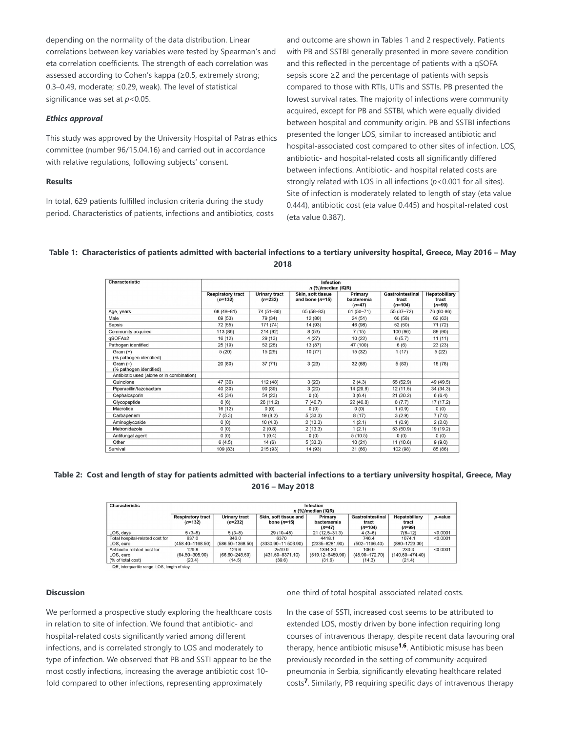depending on the normality of the data distribution. Linear correlations between key variables were tested by Spearman's and eta correlation coefficients. The strength of each correlation was assessed according to Cohen's kappa (≥0.5, extremely strong; 0.3–0.49, moderate; ≤0.29, weak). The level of statistical significance was set at *p*<0.05.

#### *Ethics approval*

This study was approved by the University Hospital of Patras ethics committee (number 96/15.04.16) and carried out in accordance with relative regulations, following subjects' consent.

### **Results**

In total, 629 patients fulfilled inclusion criteria during the study period. Characteristics of patients, infections and antibiotics, costs and outcome are shown in Tables 1 and 2 respectively. Patients with PB and SSTBI generally presented in more severe condition and this reflected in the percentage of patients with a qSOFA sepsis score ≥2 and the percentage of patients with sepsis compared to those with RTIs, UTIs and SSTIs. PB presented the lowest survival rates. The majority of infections were community acquired, except for PB and SSTBI, which were equally divided between hospital and community origin. PB and SSTBI infections presented the longer LOS, similar to increased antibiotic and hospital-associated cost compared to other sites of infection. LOS, antibiotic- and hospital-related costs all significantly differed between infections. Antibiotic- and hospital related costs are strongly related with LOS in all infections (*p*<0.001 for all sites). Site of infection is moderately related to length of stay (eta value 0.444), antibiotic cost (eta value 0.445) and hospital-related cost (eta value 0.387).

### **Table 1: Characteristics of patients admitted with bacterial infections to a tertiary university hospital, Greece, May 2016 – May 2018**

| Characteristic                            | Infection<br>$n$ (%)/median (IQR)     |                            |                                        |                                   |                                        |                                    |  |  |
|-------------------------------------------|---------------------------------------|----------------------------|----------------------------------------|-----------------------------------|----------------------------------------|------------------------------------|--|--|
|                                           | <b>Respiratory tract</b><br>$(n=132)$ | Urinary tract<br>$(n=232)$ | Skin, soft tissue<br>and bone $(n=15)$ | Primary<br>bacteremia<br>$(n=47)$ | Gastrointestinal<br>tract<br>$(n=104)$ | Hepatobiliary<br>tract<br>$(n=99)$ |  |  |
| Age, years                                | 68 (48-81)                            | 74 (51-80)                 | 65 (58-83)                             | $61(50 - 71)$                     | 55 (37-72)                             | 76 (60-86)                         |  |  |
| Male                                      | 69 (53)                               | 79 (34)                    | 12 (80)                                | 24 (51)                           | 60 (58)                                | 62 (63)                            |  |  |
| Sepsis                                    | 72 (55)                               | 171 (74)                   | 14 (93)                                | 46 (98)                           | 52 (50)                                | 71 (72)                            |  |  |
| Community acquired                        | 113 (86)                              | 214 (92)                   | 8(53)                                  | 7(15)                             | 100 (96)                               | 89 (90)                            |  |  |
| qSOFA≥2                                   | 16 (12)                               | 29 (13)                    | 4(27)                                  | 10 (22)                           | 6(5.7)                                 | 11(11)                             |  |  |
| Pathogen identified                       | 25 (19)                               | 52 (28)                    | 13 (87)                                | 47 (100)                          | 6(6)                                   | 23(23)                             |  |  |
| $Gram (+)$<br>(% pathogen identified)     | 5(20)                                 | 15 (29)                    | 10(77)                                 | 15(32)                            | 1(17)                                  | 5(22)                              |  |  |
| Gram $(-)$<br>(% pathogen identified)     | 20 (80)                               | 37(71)                     | 3(23)                                  | 32 (68)                           | 5(83)                                  | 18 (78)                            |  |  |
| Antibiotic used (alone or in combination) |                                       |                            |                                        |                                   |                                        |                                    |  |  |
| Quinolone                                 | 47 (36)                               | 112(48)                    | 3(20)                                  | 2(4.3)                            | 55 (52.9)                              | 49 (49.5)                          |  |  |
| Piperacillin/tazobactam                   | 40 (30)                               | 90 (39)                    | 3(20)                                  | 14 (29.8)                         | 12(11.5)                               | 34(34.3)                           |  |  |
| Cephalosporin                             | 45 (34)                               | 54 (23)                    | 0(0)                                   | 3(6.4)                            | 21(20.2)                               | 6(6.4)                             |  |  |
| Glycopeptide                              | 8(6)                                  | 26 (11.2)                  | 7(46.7)                                | 22(46.8)                          | 8(7.7)                                 | 17(17.2)                           |  |  |
| Macrolide                                 | 16 (12)                               | 0(0)                       | 0(0)                                   | 0(0)                              | 1(0.9)                                 | 0(0)                               |  |  |
| Carbapenem                                | 7(5.3)                                | 19 (8.2)                   | 5(33.3)                                | 8(17)                             | 3(2.9)                                 | 7(7.0)                             |  |  |
| Aminoglycoside                            | 0(0)                                  | 10(4.3)                    | 2(13.3)                                | 1(2.1)                            | 1(0.9)                                 | 2(2.0)                             |  |  |
| Metronidazole                             | 0(0)                                  | 2(0.8)                     | 2(13.3)                                | 1(2.1)                            | 53 (50.9)                              | 19 (19.2)                          |  |  |
| Antifungal agent                          | 0(0)                                  | 1(0.4)                     | 0(0)                                   | 5(10.5)                           | 0(0)                                   | 0(0)                               |  |  |
| Other                                     | 6(4.5)                                | 14(6)                      | 5(33.3)                                | 10(21)                            | 11 (10.6)                              | 9(9.0)                             |  |  |
| Survival                                  | 109 (83)                              | 215 (93)                   | 14 (93)                                | 31 (66)                           | 102 (98)                               | 85 (86)                            |  |  |

### **Table 2: Cost and length of stay for patients admitted with bacterial infections to a tertiary university hospital, Greece, May 2016 – May 2018**

| Characteristic                                                | Infection<br>$n$ (%)/median (IQR)     |                                       |                                        |                                           |                                        |                                        |          |
|---------------------------------------------------------------|---------------------------------------|---------------------------------------|----------------------------------------|-------------------------------------------|----------------------------------------|----------------------------------------|----------|
|                                                               | <b>Respiratory tract</b><br>$(n=132)$ | Urinary tract<br>$(n=232)$            | Skin, soft tissue and<br>bone $(n=15)$ | Primary<br>bacteraemia<br>$(n=47)$        | Gastrointestinal<br>tract<br>$(n=104)$ | Hepatobiliary<br>tract<br>$(n=99)$     | p-value  |
| LOS, davs                                                     | $5(3-8)$                              | $5(3-8)$                              | 29 (10-45)                             | $21(12.5 - 31.3)$                         | $4(3-6)$                               | $7(6-12)$                              | < 0.0001 |
| Total hospital-related cost for                               | 637.0                                 | 846.0                                 | 6370                                   | 4418.1                                    | 746.4                                  | 1074.1                                 | < 0.0001 |
| LOS, euro                                                     | $(458.40 - 1168.50)$                  | $(586.50 - 1368.50)$                  | (3330.90-11 503.90)                    | $(2335 - 8281.90)$                        | $(502 - 1196.40)$                      | $(880 - 1723.30)$                      |          |
| Antibiotic-related cost for<br>LOS, euro<br>(% of total cost) | 129.8<br>$(64.50 - 305.90)$<br>(20.4) | 124.6<br>$(66.60 - 248.50)$<br>(14.5) | 2519.9<br>(431.50-8371.10)<br>(39.6)   | 1394.30<br>$(519.12 - 6459.90)$<br>(31.6) | 106.9<br>$(45.90 - 172.70)$<br>(14.3)  | 230.3<br>$(140.60 - 474.40)$<br>(21.4) | < 0.0001 |

IQR, interquartile range. LOS, length of stay

#### **Discussion**

We performed a prospective study exploring the healthcare costs in relation to site of infection. We found that antibiotic- and hospital-related costs significantly varied among different infections, and is correlated strongly to LOS and moderately to type of infection. We observed that PB and SSTI appear to be the most costly infections, increasing the average antibiotic cost 10 fold compared to other infections, representing approximately

one-third of total hospital-associated related costs.

In the case of SSTI, increased cost seems to be attributed to extended LOS, mostly driven by bone infection requiring long courses of intravenous therapy, despite recent data favouring oral therapy, hence antibiotic misuse<sup>1,6</sup>. Antibiotic misuse has been previously recorded in the setting of community-acquired pneumonia in Serbia, significantly elevating healthcare related costs<sup>7</sup>. Similarly, PB requiring specific days of intravenous therapy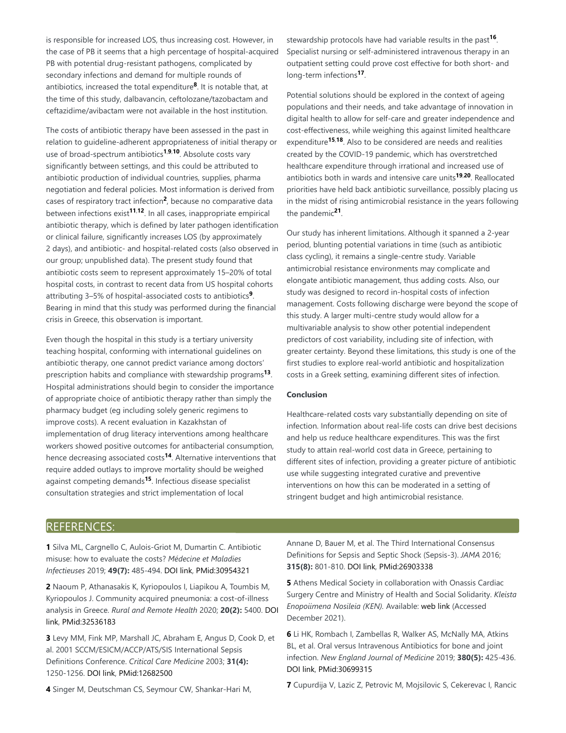is responsible for increased LOS, thus increasing cost. However, in the case of PB it seems that a high percentage of hospital-acquired PB with potential drug-resistant pathogens, complicated by secondary infections and demand for multiple rounds of antibiotics, increased the total expenditure<sup>8</sup>. It is notable that, at the time of this study, dalbavancin, ceftolozane/tazobactam and ceftazidime/avibactam were not available in the host institution.

The costs of antibiotic therapy have been assessed in the past in relation to guideline-adherent appropriateness of initial therapy or use of broad-spectrum antibiotics<sup>1,9,10</sup>. Absolute costs vary significantly between settings, and this could be attributed to antibiotic production of individual countries, supplies, pharma negotiation and federal policies. Most information is derived from cases of respiratory tract infection<sup>2</sup>, because no comparative data between infections exist<sup>11,12</sup>. In all cases, inappropriate empirical antibiotic therapy, which is defined by later pathogen identification or clinical failure, significantly increases LOS (by approximately 2 days), and antibiotic- and hospital-related costs (also observed in our group; unpublished data). The present study found that antibiotic costs seem to represent approximately 15–20% of total hospital costs, in contrast to recent data from US hospital cohorts attributing 3–5% of hospital-associated costs to antibiotics<sup>9</sup>. Bearing in mind that this study was performed during the financial crisis in Greece, this observation is important.

Even though the hospital in this study is a tertiary university teaching hospital, conforming with international guidelines on antibiotic therapy, one cannot predict variance among doctors' prescription habits and compliance with stewardship programs<sup>13</sup>. Hospital administrations should begin to consider the importance of appropriate choice of antibiotic therapy rather than simply the pharmacy budget (eg including solely generic regimens to improve costs). A recent evaluation in Kazakhstan of implementation of drug literacy interventions among healthcare workers showed positive outcomes for antibacterial consumption, hence decreasing associated costs<sup>14</sup>. Alternative interventions that require added outlays to improve mortality should be weighed against competing demands<sup>15</sup>. Infectious disease specialist consultation strategies and strict implementation of local

stewardship protocols have had variable results in the past<sup>16</sup>. Specialist nursing or self-administered intravenous therapy in an outpatient setting could prove cost effective for both short- and long-term infections<sup>17</sup>.

Potential solutions should be explored in the context of ageing populations and their needs, and take advantage of innovation in digital health to allow for self-care and greater independence and cost-effectiveness, while weighing this against limited healthcare expenditure<sup>15,18</sup>. Also to be considered are needs and realities created by the COVID-19 pandemic, which has overstretched healthcare expenditure through irrational and increased use of antibiotics both in wards and intensive care units<sup>19,20</sup>. Reallocated priorities have held back antibiotic surveillance, possibly placing us in the midst of rising antimicrobial resistance in the years following the pandemic<sup>21</sup>.

Our study has inherent limitations. Although it spanned a 2-year period, blunting potential variations in time (such as antibiotic class cycling), it remains a single-centre study. Variable antimicrobial resistance environments may complicate and elongate antibiotic management, thus adding costs. Also, our study was designed to record in-hospital costs of infection management. Costs following discharge were beyond the scope of this study. A larger multi-centre study would allow for a multivariable analysis to show other potential independent predictors of cost variability, including site of infection, with greater certainty. Beyond these limitations, this study is one of the first studies to explore real-world antibiotic and hospitalization costs in a Greek setting, examining different sites of infection.

### **Conclusion**

Healthcare-related costs vary substantially depending on site of infection. Information about real-life costs can drive best decisions and help us reduce healthcare expenditures. This was the first study to attain real-world cost data in Greece, pertaining to different sites of infection, providing a greater picture of antibiotic use while suggesting integrated curative and preventive interventions on how this can be moderated in a setting of stringent budget and high antimicrobial resistance.

## REFERENCES:

**1** Silva ML, Cargnello C, Aulois-Griot M, Dumartin C. Antibiotic misuse: how to evaluate the costs? *Médecine et Maladies Infectieuses* 2019; **49(7):** 485-494. DOI link, PMid:30954321

**2** Naoum P, Athanasakis K, Kyriopoulos I, Liapikou A, Toumbis M, Kyriopoulos J. Community acquired pneumonia: a cost-of-illness analysis in Greece. *Rural and Remote Health* 2020; **20(2):** 5400. DOI link, PMid:32536183

**3** Levy MM, Fink MP, Marshall JC, Abraham E, Angus D, Cook D, et al. 2001 SCCM/ESICM/ACCP/ATS/SIS International Sepsis Definitions Conference. *Critical Care Medicine* 2003; **31(4):** 1250-1256. DOI link, PMid:12682500

Annane D, Bauer M, et al. The Third International Consensus Definitions for Sepsis and Septic Shock (Sepsis-3). *JAMA* 2016; **315(8):** 801-810. DOI link, PMid:26903338

**5** Athens Medical Society in collaboration with Onassis Cardiac Surgery Centre and Ministry of Health and Social Solidarity. *Kleista Enopoiimena Nosileia (KEN).* Available: web link (Accessed December 2021).

**6** Li HK, Rombach I, Zambellas R, Walker AS, McNally MA, Atkins BL, et al. Oral versus Intravenous Antibiotics for bone and joint infection. *New England Journal of Medicine* 2019; **380(5):** 425-436. DOI link, PMid:30699315

**4** Singer M, Deutschman CS, Seymour CW, Shankar-Hari M,

**7** Cupurdija V, Lazic Z, Petrovic M, Mojsilovic S, Cekerevac I, Rancic